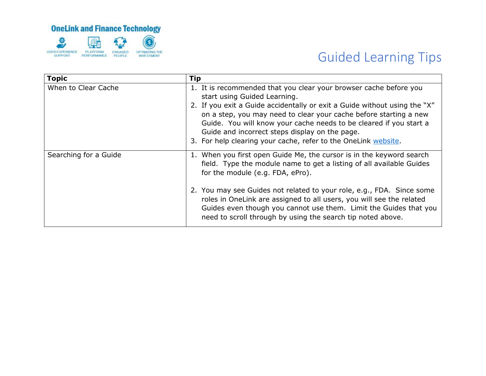

| <b>Topic</b>          | Tip                                                                                                                                                                                                                                                                                                                                                                                                                                                                   |
|-----------------------|-----------------------------------------------------------------------------------------------------------------------------------------------------------------------------------------------------------------------------------------------------------------------------------------------------------------------------------------------------------------------------------------------------------------------------------------------------------------------|
| When to Clear Cache   | 1. It is recommended that you clear your browser cache before you<br>start using Guided Learning.<br>2. If you exit a Guide accidentally or exit a Guide without using the "X"<br>on a step, you may need to clear your cache before starting a new<br>Guide. You will know your cache needs to be cleared if you start a<br>Guide and incorrect steps display on the page.<br>3. For help clearing your cache, refer to the OneLink website.                         |
| Searching for a Guide | 1. When you first open Guide Me, the cursor is in the keyword search<br>field. Type the module name to get a listing of all available Guides<br>for the module (e.g. FDA, ePro).<br>2. You may see Guides not related to your role, e.g., FDA. Since some<br>roles in OneLink are assigned to all users, you will see the related<br>Guides even though you cannot use them. Limit the Guides that you<br>need to scroll through by using the search tip noted above. |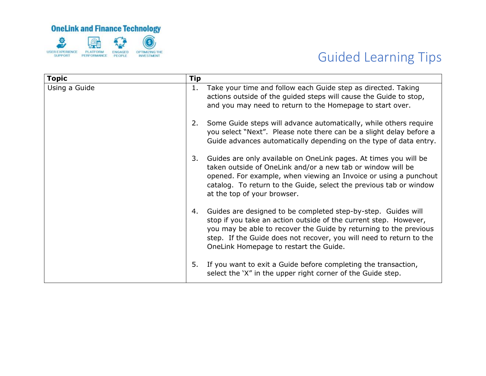

| <b>Topic</b>  | <b>Tip</b> |                                                                                                                                                                                                                                                                                                                         |
|---------------|------------|-------------------------------------------------------------------------------------------------------------------------------------------------------------------------------------------------------------------------------------------------------------------------------------------------------------------------|
| Using a Guide | 1.         | Take your time and follow each Guide step as directed. Taking<br>actions outside of the guided steps will cause the Guide to stop,<br>and you may need to return to the Homepage to start over.                                                                                                                         |
|               | 2.         | Some Guide steps will advance automatically, while others require<br>you select "Next". Please note there can be a slight delay before a<br>Guide advances automatically depending on the type of data entry.                                                                                                           |
|               | 3.         | Guides are only available on OneLink pages. At times you will be<br>taken outside of OneLink and/or a new tab or window will be<br>opened. For example, when viewing an Invoice or using a punchout<br>catalog. To return to the Guide, select the previous tab or window<br>at the top of your browser.                |
|               | 4.         | Guides are designed to be completed step-by-step. Guides will<br>stop if you take an action outside of the current step. However,<br>you may be able to recover the Guide by returning to the previous<br>step. If the Guide does not recover, you will need to return to the<br>OneLink Homepage to restart the Guide. |
|               | 5.         | If you want to exit a Guide before completing the transaction,<br>select the 'X" in the upper right corner of the Guide step.                                                                                                                                                                                           |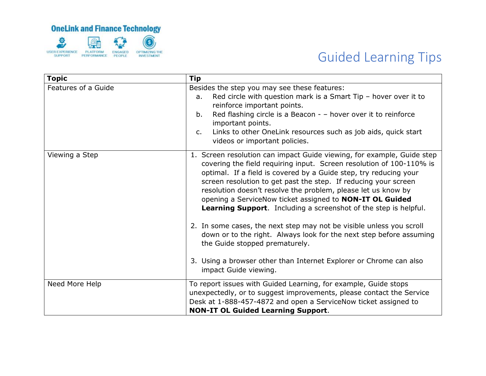

| <b>Topic</b>        | <b>Tip</b>                                                                                                                                                                                                                                                                                                                                                                                                                                                                                                                                                                                                                                    |
|---------------------|-----------------------------------------------------------------------------------------------------------------------------------------------------------------------------------------------------------------------------------------------------------------------------------------------------------------------------------------------------------------------------------------------------------------------------------------------------------------------------------------------------------------------------------------------------------------------------------------------------------------------------------------------|
| Features of a Guide | Besides the step you may see these features:<br>Red circle with question mark is a Smart Tip $-$ hover over it to<br>a.<br>reinforce important points.<br>Red flashing circle is a Beacon - - hover over it to reinforce<br>b.<br>important points.<br>Links to other OneLink resources such as job aids, quick start<br>$C_{1}$<br>videos or important policies.                                                                                                                                                                                                                                                                             |
| Viewing a Step      | 1. Screen resolution can impact Guide viewing, for example, Guide step<br>covering the field requiring input. Screen resolution of 100-110% is<br>optimal. If a field is covered by a Guide step, try reducing your<br>screen resolution to get past the step. If reducing your screen<br>resolution doesn't resolve the problem, please let us know by<br>opening a ServiceNow ticket assigned to NON-IT OL Guided<br><b>Learning Support.</b> Including a screenshot of the step is helpful.<br>2. In some cases, the next step may not be visible unless you scroll<br>down or to the right. Always look for the next step before assuming |
|                     | the Guide stopped prematurely.<br>3. Using a browser other than Internet Explorer or Chrome can also<br>impact Guide viewing.                                                                                                                                                                                                                                                                                                                                                                                                                                                                                                                 |
| Need More Help      | To report issues with Guided Learning, for example, Guide stops<br>unexpectedly, or to suggest improvements, please contact the Service<br>Desk at 1-888-457-4872 and open a ServiceNow ticket assigned to<br><b>NON-IT OL Guided Learning Support.</b>                                                                                                                                                                                                                                                                                                                                                                                       |